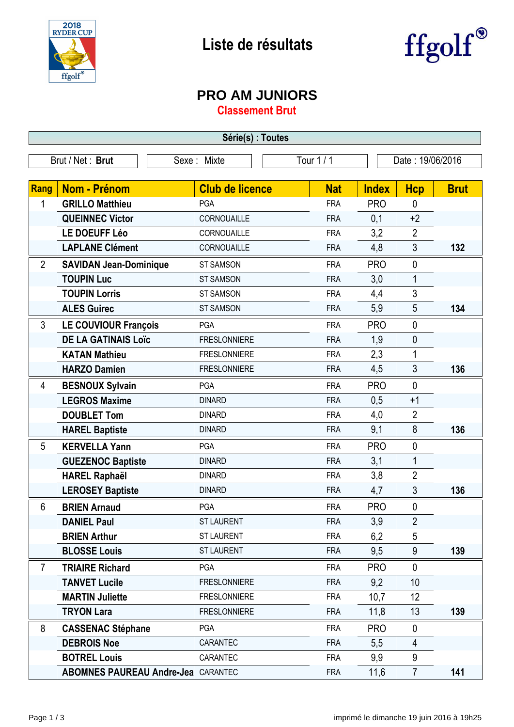

## **Liste de résultats**



## **PRO AM JUNIORS**

**Classement Brut**

| Série(s) : Toutes               |                                           |                        |  |                                |              |                |             |
|---------------------------------|-------------------------------------------|------------------------|--|--------------------------------|--------------|----------------|-------------|
| Brut / Net: Brut<br>Sexe: Mixte |                                           |                        |  | Tour 1 / 1<br>Date: 19/06/2016 |              |                |             |
|                                 |                                           |                        |  |                                |              |                |             |
| <b>Rang</b>                     | <b>Nom - Prénom</b>                       | <b>Club de licence</b> |  | <b>Nat</b>                     | <b>Index</b> | <b>Hcp</b>     | <b>Brut</b> |
| 1                               | <b>GRILLO Matthieu</b>                    | <b>PGA</b>             |  | <b>FRA</b>                     | <b>PRO</b>   | $\mathbf 0$    |             |
|                                 | <b>QUEINNEC Victor</b>                    | CORNOUAILLE            |  | <b>FRA</b>                     | 0,1          | $+2$           |             |
|                                 | LE DOEUFF Léo                             | CORNOUAILLE            |  | <b>FRA</b>                     | 3,2          | $\overline{2}$ |             |
|                                 | <b>LAPLANE Clément</b>                    | CORNOUAILLE            |  | <b>FRA</b>                     | 4,8          | 3              | 132         |
| $\overline{2}$                  | <b>SAVIDAN Jean-Dominique</b>             | <b>ST SAMSON</b>       |  | <b>FRA</b>                     | <b>PRO</b>   | $\mathbf 0$    |             |
|                                 | <b>TOUPIN Luc</b>                         | <b>ST SAMSON</b>       |  | <b>FRA</b>                     | 3,0          | $\mathbf 1$    |             |
|                                 | <b>TOUPIN Lorris</b>                      | <b>ST SAMSON</b>       |  | <b>FRA</b>                     | 4,4          | 3              |             |
|                                 | <b>ALES Guirec</b>                        | <b>ST SAMSON</b>       |  | <b>FRA</b>                     | 5,9          | 5              | 134         |
| 3                               | <b>LE COUVIOUR François</b>               | PGA                    |  | <b>FRA</b>                     | <b>PRO</b>   | $\mathbf 0$    |             |
|                                 | <b>DE LA GATINAIS LOÏC</b>                | <b>FRESLONNIERE</b>    |  | <b>FRA</b>                     | 1,9          | 0              |             |
|                                 | <b>KATAN Mathieu</b>                      | <b>FRESLONNIERE</b>    |  | <b>FRA</b>                     | 2,3          | 1              |             |
|                                 | <b>HARZO Damien</b>                       | <b>FRESLONNIERE</b>    |  | <b>FRA</b>                     | 4,5          | 3              | 136         |
| 4                               | <b>BESNOUX Sylvain</b>                    | <b>PGA</b>             |  | <b>FRA</b>                     | <b>PRO</b>   | $\mathbf 0$    |             |
|                                 | <b>LEGROS Maxime</b>                      | <b>DINARD</b>          |  | <b>FRA</b>                     | 0,5          | $+1$           |             |
|                                 | <b>DOUBLET Tom</b>                        | <b>DINARD</b>          |  | <b>FRA</b>                     | 4,0          | $\overline{2}$ |             |
|                                 | <b>HAREL Baptiste</b>                     | <b>DINARD</b>          |  | <b>FRA</b>                     | 9,1          | 8              | 136         |
| 5                               | <b>KERVELLA Yann</b>                      | PGA                    |  | <b>FRA</b>                     | <b>PRO</b>   | 0              |             |
|                                 | <b>GUEZENOC Baptiste</b>                  | <b>DINARD</b>          |  | <b>FRA</b>                     | 3,1          | $\mathbf{1}$   |             |
|                                 | <b>HAREL Raphaël</b>                      | <b>DINARD</b>          |  | <b>FRA</b>                     | 3,8          | $\overline{2}$ |             |
|                                 | <b>LEROSEY Baptiste</b>                   | <b>DINARD</b>          |  | <b>FRA</b>                     | 4,7          | 3              | 136         |
| 6                               | <b>BRIEN Arnaud</b>                       | PGA                    |  | <b>FRA</b>                     | <b>PRO</b>   | 0              |             |
|                                 | <b>DANIEL Paul</b>                        | <b>ST LAURENT</b>      |  | <b>FRA</b>                     | 3,9          | $\overline{2}$ |             |
|                                 | <b>BRIEN Arthur</b>                       | <b>ST LAURENT</b>      |  | <b>FRA</b>                     | 6,2          | 5              |             |
|                                 | <b>BLOSSE Louis</b>                       | <b>ST LAURENT</b>      |  | <b>FRA</b>                     | 9,5          | 9              | 139         |
| $\overline{7}$                  | <b>TRIAIRE Richard</b>                    | PGA                    |  | <b>FRA</b>                     | <b>PRO</b>   | $\mathbf 0$    |             |
|                                 | <b>TANVET Lucile</b>                      | <b>FRESLONNIERE</b>    |  | <b>FRA</b>                     | 9,2          | 10             |             |
|                                 | <b>MARTIN Juliette</b>                    | <b>FRESLONNIERE</b>    |  | <b>FRA</b>                     | 10,7         | 12             |             |
|                                 | <b>TRYON Lara</b>                         | <b>FRESLONNIERE</b>    |  | <b>FRA</b>                     | 11,8         | 13             | 139         |
| 8                               | <b>CASSENAC Stéphane</b>                  | <b>PGA</b>             |  | <b>FRA</b>                     | <b>PRO</b>   | 0              |             |
|                                 | <b>DEBROIS Noe</b>                        | CARANTEC               |  | <b>FRA</b>                     | 5,5          | 4              |             |
|                                 | <b>BOTREL Louis</b>                       | CARANTEC               |  | <b>FRA</b>                     | 9,9          | 9              |             |
|                                 | <b>ABOMNES PAUREAU Andre-Jea CARANTEC</b> |                        |  | <b>FRA</b>                     | 11,6         | $\overline{7}$ | 141         |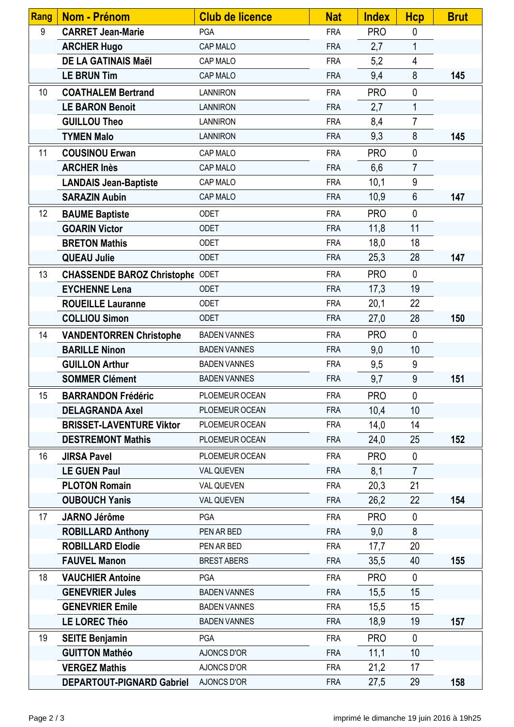| Rang | <b>Nom - Prénom</b>                    | <b>Club de licence</b> | <b>Nat</b> | <b>Index</b> | <b>Hcp</b>     | <b>Brut</b> |
|------|----------------------------------------|------------------------|------------|--------------|----------------|-------------|
| 9    | <b>CARRET Jean-Marie</b>               | PGA                    | <b>FRA</b> | <b>PRO</b>   | $\mathbf 0$    |             |
|      | <b>ARCHER Hugo</b>                     | CAP MALO               | <b>FRA</b> | 2,7          | 1              |             |
|      | <b>DE LA GATINAIS Maël</b>             | CAP MALO               | <b>FRA</b> | 5,2          | 4              |             |
|      | <b>LE BRUN Tim</b>                     | CAP MALO               | <b>FRA</b> | 9,4          | 8              | 145         |
| 10   | <b>COATHALEM Bertrand</b>              | <b>LANNIRON</b>        | <b>FRA</b> | <b>PRO</b>   | $\mathbf 0$    |             |
|      | <b>LE BARON Benoit</b>                 | <b>LANNIRON</b>        | <b>FRA</b> | 2,7          | $\mathbf{1}$   |             |
|      | <b>GUILLOU Theo</b>                    | <b>LANNIRON</b>        | <b>FRA</b> | 8,4          | $\overline{7}$ |             |
|      | <b>TYMEN Malo</b>                      | <b>LANNIRON</b>        | <b>FRA</b> | 9,3          | 8              | 145         |
| 11   | <b>COUSINOU Erwan</b>                  | CAP MALO               | <b>FRA</b> | <b>PRO</b>   | $\mathbf 0$    |             |
|      | <b>ARCHER Inès</b>                     | CAP MALO               | <b>FRA</b> | 6,6          | $\overline{7}$ |             |
|      | <b>LANDAIS Jean-Baptiste</b>           | CAP MALO               | <b>FRA</b> | 10,1         | 9              |             |
|      | <b>SARAZIN Aubin</b>                   | CAP MALO               | <b>FRA</b> | 10,9         | 6              | 147         |
| 12   | <b>BAUME Baptiste</b>                  | <b>ODET</b>            | <b>FRA</b> | <b>PRO</b>   | $\mathbf{0}$   |             |
|      | <b>GOARIN Victor</b>                   | <b>ODET</b>            | <b>FRA</b> | 11,8         | 11             |             |
|      | <b>BRETON Mathis</b>                   | <b>ODET</b>            | <b>FRA</b> | 18,0         | 18             |             |
|      | <b>QUEAU Julie</b>                     | <b>ODET</b>            | <b>FRA</b> | 25,3         | 28             | 147         |
| 13   | <b>CHASSENDE BAROZ Christophe ODET</b> |                        | <b>FRA</b> | <b>PRO</b>   | $\mathbf 0$    |             |
|      | <b>EYCHENNE Lena</b>                   | <b>ODET</b>            | <b>FRA</b> | 17,3         | 19             |             |
|      | <b>ROUEILLE Lauranne</b>               | <b>ODET</b>            | <b>FRA</b> | 20,1         | 22             |             |
|      | <b>COLLIOU Simon</b>                   | ODET                   | <b>FRA</b> | 27,0         | 28             | 150         |
| 14   | <b>VANDENTORREN Christophe</b>         | <b>BADEN VANNES</b>    | <b>FRA</b> | <b>PRO</b>   | $\mathbf 0$    |             |
|      | <b>BARILLE Ninon</b>                   | <b>BADEN VANNES</b>    | <b>FRA</b> | 9,0          | 10             |             |
|      | <b>GUILLON Arthur</b>                  | <b>BADEN VANNES</b>    | <b>FRA</b> | 9,5          | 9              |             |
|      | <b>SOMMER Clément</b>                  | <b>BADEN VANNES</b>    | <b>FRA</b> | 9,7          | 9              | 151         |
| 15   | <b>BARRANDON Frédéric</b>              | PLOEMEUR OCEAN         | <b>FRA</b> | <b>PRO</b>   | $\mathbf 0$    |             |
|      | <b>DELAGRANDA Axel</b>                 | PLOEMEUR OCEAN         | <b>FRA</b> | 10,4         | 10             |             |
|      | <b>BRISSET-LAVENTURE Viktor</b>        | PLOEMEUR OCEAN         | <b>FRA</b> | 14,0         | 14             |             |
|      | <b>DESTREMONT Mathis</b>               | PLOEMEUR OCEAN         | <b>FRA</b> | 24,0         | 25             | 152         |
| 16   | <b>JIRSA Pavel</b>                     | PLOEMEUR OCEAN         | <b>FRA</b> | <b>PRO</b>   | $\mathbf 0$    |             |
|      | <b>LE GUEN Paul</b>                    | VAL QUEVEN             | <b>FRA</b> | 8,1          | $\overline{7}$ |             |
|      | <b>PLOTON Romain</b>                   | VAL QUEVEN             | <b>FRA</b> | 20,3         | 21             |             |
|      | <b>OUBOUCH Yanis</b>                   | VAL QUEVEN             | <b>FRA</b> | 26,2         | 22             | 154         |
| 17   | <b>JARNO Jérôme</b>                    | <b>PGA</b>             | <b>FRA</b> | <b>PRO</b>   | $\mathbf 0$    |             |
|      | <b>ROBILLARD Anthony</b>               | PEN AR BED             | <b>FRA</b> | 9,0          | 8              |             |
|      | <b>ROBILLARD Elodie</b>                | PEN AR BED             | <b>FRA</b> | 17,7         | 20             |             |
|      | <b>FAUVEL Manon</b>                    | <b>BREST ABERS</b>     | <b>FRA</b> | 35,5         | 40             | 155         |
| 18   | <b>VAUCHIER Antoine</b>                | <b>PGA</b>             | <b>FRA</b> | <b>PRO</b>   | $\mathbf 0$    |             |
|      | <b>GENEVRIER Jules</b>                 | <b>BADEN VANNES</b>    | <b>FRA</b> | 15,5         | 15             |             |
|      | <b>GENEVRIER Emile</b>                 | <b>BADEN VANNES</b>    | <b>FRA</b> | 15,5         | 15             |             |
|      | <b>LE LOREC Théo</b>                   | <b>BADEN VANNES</b>    | <b>FRA</b> | 18,9         | 19             | 157         |
| 19   | <b>SEITE Benjamin</b>                  | <b>PGA</b>             | <b>FRA</b> | <b>PRO</b>   | $\mathbf 0$    |             |
|      | <b>GUITTON Mathéo</b>                  | AJONCS D'OR            | <b>FRA</b> | 11,1         | 10             |             |
|      | <b>VERGEZ Mathis</b>                   | AJONCS D'OR            | <b>FRA</b> | 21,2         | 17             |             |
|      | <b>DEPARTOUT-PIGNARD Gabriel</b>       | AJONCS D'OR            | <b>FRA</b> | 27,5         | 29             | 158         |